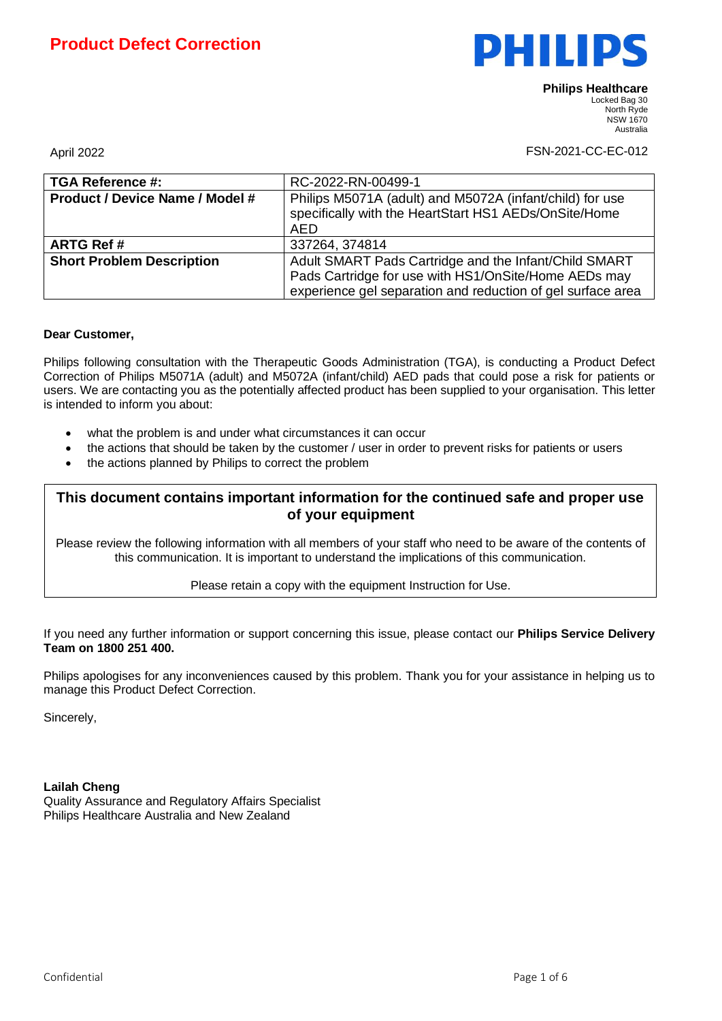

April 2022 **FSN-2021-CC-EC-012** 

| <b>TGA Reference #:</b>                | RC-2022-RN-00499-1                                                                                                                                                           |
|----------------------------------------|------------------------------------------------------------------------------------------------------------------------------------------------------------------------------|
| <b>Product / Device Name / Model #</b> | Philips M5071A (adult) and M5072A (infant/child) for use<br>specifically with the HeartStart HS1 AEDs/OnSite/Home<br>AED                                                     |
| <b>ARTG Ref#</b>                       | 337264, 374814                                                                                                                                                               |
| <b>Short Problem Description</b>       | Adult SMART Pads Cartridge and the Infant/Child SMART<br>Pads Cartridge for use with HS1/OnSite/Home AEDs may<br>experience gel separation and reduction of gel surface area |

### **Dear Customer,**

Philips following consultation with the Therapeutic Goods Administration (TGA), is conducting a Product Defect Correction of Philips M5071A (adult) and M5072A (infant/child) AED pads that could pose a risk for patients or users. We are contacting you as the potentially affected product has been supplied to your organisation. This letter is intended to inform you about:

- what the problem is and under what circumstances it can occur
- the actions that should be taken by the customer / user in order to prevent risks for patients or users
- the actions planned by Philips to correct the problem

## **This document contains important information for the continued safe and proper use of your equipment**

Please review the following information with all members of your staff who need to be aware of the contents of this communication. It is important to understand the implications of this communication.

#### Please retain a copy with the equipment Instruction for Use.

If you need any further information or support concerning this issue, please contact our **Philips Service Delivery Team on 1800 251 400.**

Philips apologises for any inconveniences caused by this problem. Thank you for your assistance in helping us to manage this Product Defect Correction.

Sincerely,

#### **Lailah Cheng**

Quality Assurance and Regulatory Affairs Specialist Philips Healthcare Australia and New Zealand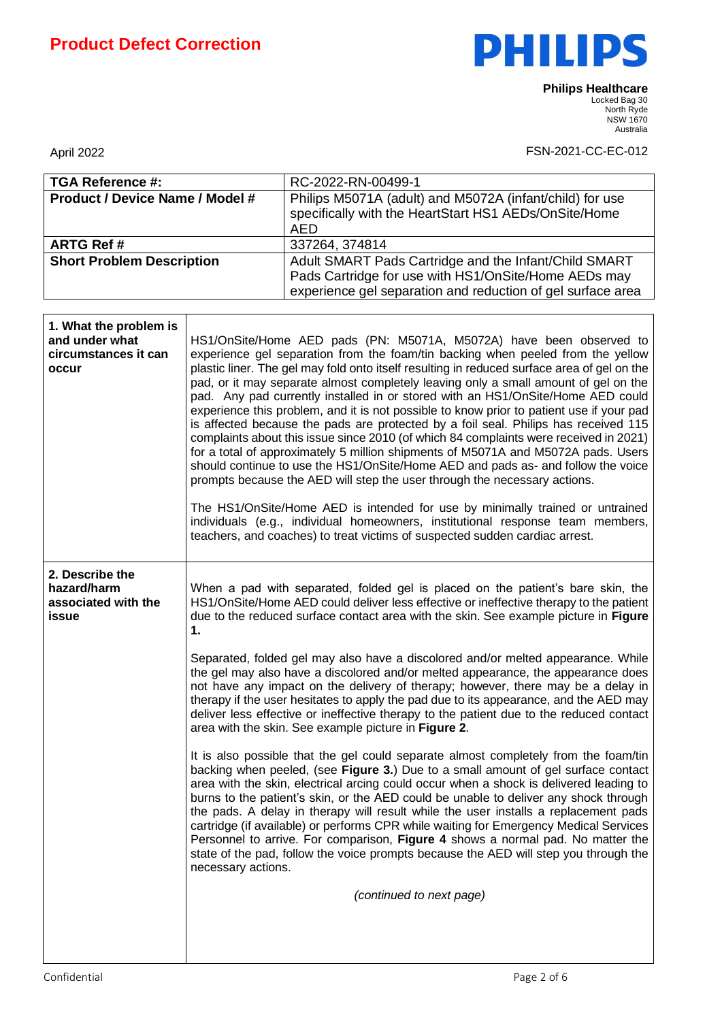

| <b>TGA Reference #:</b>                |                                                                                                                                                                              | RC-2022-RN-00499-1                                                                                                                                                     |  |  |
|----------------------------------------|------------------------------------------------------------------------------------------------------------------------------------------------------------------------------|------------------------------------------------------------------------------------------------------------------------------------------------------------------------|--|--|
| <b>Product / Device Name / Model #</b> |                                                                                                                                                                              | Philips M5071A (adult) and M5072A (infant/child) for use                                                                                                               |  |  |
|                                        |                                                                                                                                                                              | specifically with the HeartStart HS1 AEDs/OnSite/Home                                                                                                                  |  |  |
|                                        |                                                                                                                                                                              | <b>AED</b>                                                                                                                                                             |  |  |
| <b>ARTG Ref#</b>                       |                                                                                                                                                                              | 337264, 374814                                                                                                                                                         |  |  |
| <b>Short Problem Description</b>       |                                                                                                                                                                              | Adult SMART Pads Cartridge and the Infant/Child SMART                                                                                                                  |  |  |
|                                        |                                                                                                                                                                              | Pads Cartridge for use with HS1/OnSite/Home AEDs may                                                                                                                   |  |  |
|                                        |                                                                                                                                                                              | experience gel separation and reduction of gel surface area                                                                                                            |  |  |
|                                        |                                                                                                                                                                              |                                                                                                                                                                        |  |  |
| 1. What the problem is                 |                                                                                                                                                                              |                                                                                                                                                                        |  |  |
| and under what                         | HS1/OnSite/Home AED pads (PN: M5071A, M5072A) have been observed to                                                                                                          |                                                                                                                                                                        |  |  |
| circumstances it can                   | experience gel separation from the foam/tin backing when peeled from the yellow                                                                                              |                                                                                                                                                                        |  |  |
| occur                                  |                                                                                                                                                                              | plastic liner. The gel may fold onto itself resulting in reduced surface area of gel on the                                                                            |  |  |
|                                        |                                                                                                                                                                              | pad, or it may separate almost completely leaving only a small amount of gel on the<br>pad. Any pad currently installed in or stored with an HS1/OnSite/Home AED could |  |  |
|                                        |                                                                                                                                                                              | experience this problem, and it is not possible to know prior to patient use if your pad                                                                               |  |  |
|                                        |                                                                                                                                                                              | is affected because the pads are protected by a foil seal. Philips has received 115                                                                                    |  |  |
|                                        |                                                                                                                                                                              | complaints about this issue since 2010 (of which 84 complaints were received in 2021)                                                                                  |  |  |
|                                        |                                                                                                                                                                              | for a total of approximately 5 million shipments of M5071A and M5072A pads. Users                                                                                      |  |  |
|                                        |                                                                                                                                                                              | should continue to use the HS1/OnSite/Home AED and pads as- and follow the voice<br>prompts because the AED will step the user through the necessary actions.          |  |  |
|                                        |                                                                                                                                                                              |                                                                                                                                                                        |  |  |
|                                        | The HS1/OnSite/Home AED is intended for use by minimally trained or untrained                                                                                                |                                                                                                                                                                        |  |  |
|                                        |                                                                                                                                                                              | individuals (e.g., individual homeowners, institutional response team members,                                                                                         |  |  |
|                                        |                                                                                                                                                                              | teachers, and coaches) to treat victims of suspected sudden cardiac arrest.                                                                                            |  |  |
|                                        |                                                                                                                                                                              |                                                                                                                                                                        |  |  |
| 2. Describe the                        |                                                                                                                                                                              |                                                                                                                                                                        |  |  |
| hazard/harm                            |                                                                                                                                                                              | When a pad with separated, folded gel is placed on the patient's bare skin, the                                                                                        |  |  |
| associated with the                    | HS1/OnSite/Home AED could deliver less effective or ineffective therapy to the patient                                                                                       |                                                                                                                                                                        |  |  |
| issue                                  | due to the reduced surface contact area with the skin. See example picture in Figure                                                                                         |                                                                                                                                                                        |  |  |
|                                        | 1.                                                                                                                                                                           |                                                                                                                                                                        |  |  |
|                                        | Separated, folded gel may also have a discolored and/or melted appearance. While                                                                                             |                                                                                                                                                                        |  |  |
|                                        |                                                                                                                                                                              | the gel may also have a discolored and/or melted appearance, the appearance does                                                                                       |  |  |
|                                        | not have any impact on the delivery of therapy; however, there may be a delay in                                                                                             |                                                                                                                                                                        |  |  |
|                                        |                                                                                                                                                                              | therapy if the user hesitates to apply the pad due to its appearance, and the AED may                                                                                  |  |  |
|                                        |                                                                                                                                                                              | deliver less effective or ineffective therapy to the patient due to the reduced contact                                                                                |  |  |
|                                        | area with the skin. See example picture in Figure 2.                                                                                                                         |                                                                                                                                                                        |  |  |
|                                        |                                                                                                                                                                              | It is also possible that the gel could separate almost completely from the foam/tin                                                                                    |  |  |
|                                        |                                                                                                                                                                              | backing when peeled, (see Figure 3.) Due to a small amount of gel surface contact                                                                                      |  |  |
|                                        |                                                                                                                                                                              | area with the skin, electrical arcing could occur when a shock is delivered leading to                                                                                 |  |  |
|                                        |                                                                                                                                                                              | burns to the patient's skin, or the AED could be unable to deliver any shock through                                                                                   |  |  |
|                                        | the pads. A delay in therapy will result while the user installs a replacement pads<br>cartridge (if available) or performs CPR while waiting for Emergency Medical Services |                                                                                                                                                                        |  |  |
|                                        | Personnel to arrive. For comparison, Figure 4 shows a normal pad. No matter the                                                                                              |                                                                                                                                                                        |  |  |
|                                        |                                                                                                                                                                              | state of the pad, follow the voice prompts because the AED will step you through the                                                                                   |  |  |
|                                        | necessary actions.                                                                                                                                                           |                                                                                                                                                                        |  |  |
|                                        |                                                                                                                                                                              |                                                                                                                                                                        |  |  |
|                                        | (continued to next page)                                                                                                                                                     |                                                                                                                                                                        |  |  |
|                                        |                                                                                                                                                                              |                                                                                                                                                                        |  |  |
|                                        |                                                                                                                                                                              |                                                                                                                                                                        |  |  |
|                                        |                                                                                                                                                                              |                                                                                                                                                                        |  |  |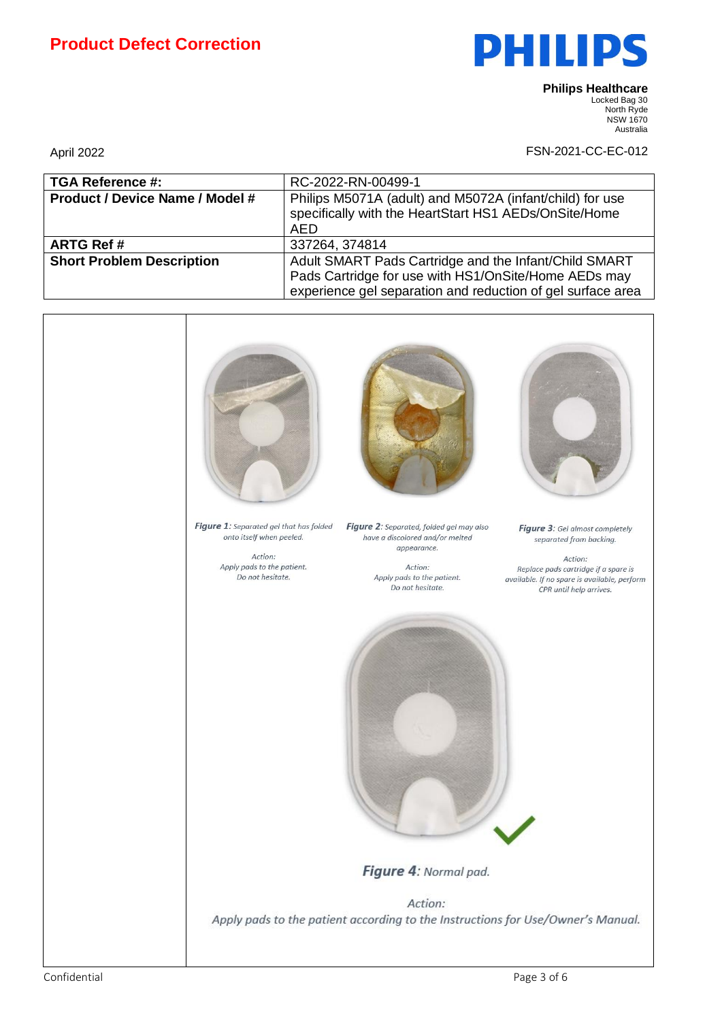# **Product Defect Correction**



**Philips Healthcare**  Locked Bag 30 North Ryde NSW 1670

**Australia** 

| <b>TGA Reference #:</b>                | RC-2022-RN-00499-1                                                                                                                                                           |
|----------------------------------------|------------------------------------------------------------------------------------------------------------------------------------------------------------------------------|
| <b>Product / Device Name / Model #</b> | Philips M5071A (adult) and M5072A (infant/child) for use<br>specifically with the HeartStart HS1 AEDs/OnSite/Home<br><b>AED</b>                                              |
| <b>ARTG Ref#</b>                       | 337264, 374814                                                                                                                                                               |
| <b>Short Problem Description</b>       | Adult SMART Pads Cartridge and the Infant/Child SMART<br>Pads Cartridge for use with HS1/OnSite/Home AEDs may<br>experience gel separation and reduction of gel surface area |

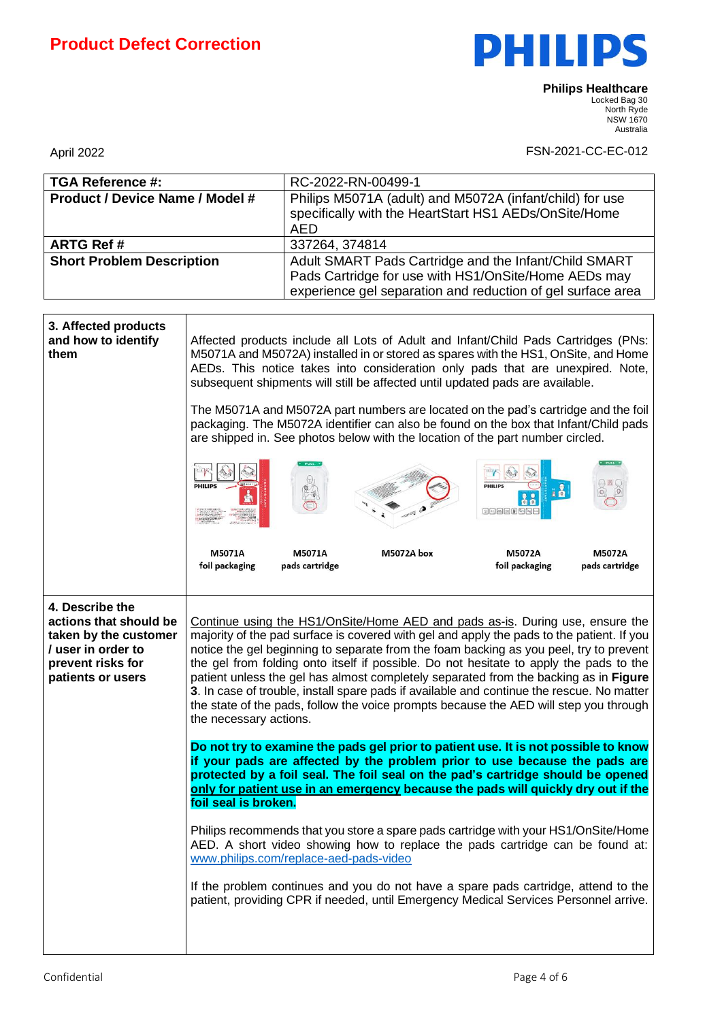

| <b>TGA Reference #:</b>                                                                                                            |                                                                                                                                                                                                                                                                                                                                                                                                                                                                                                                                                                                                                                                                        | RC-2022-RN-00499-1       |                                                                                                                                                                            |                           |                          |
|------------------------------------------------------------------------------------------------------------------------------------|------------------------------------------------------------------------------------------------------------------------------------------------------------------------------------------------------------------------------------------------------------------------------------------------------------------------------------------------------------------------------------------------------------------------------------------------------------------------------------------------------------------------------------------------------------------------------------------------------------------------------------------------------------------------|--------------------------|----------------------------------------------------------------------------------------------------------------------------------------------------------------------------|---------------------------|--------------------------|
| <b>Product / Device Name / Model #</b>                                                                                             |                                                                                                                                                                                                                                                                                                                                                                                                                                                                                                                                                                                                                                                                        |                          | Philips M5071A (adult) and M5072A (infant/child) for use                                                                                                                   |                           |                          |
|                                                                                                                                    |                                                                                                                                                                                                                                                                                                                                                                                                                                                                                                                                                                                                                                                                        |                          | specifically with the HeartStart HS1 AEDs/OnSite/Home                                                                                                                      |                           |                          |
|                                                                                                                                    |                                                                                                                                                                                                                                                                                                                                                                                                                                                                                                                                                                                                                                                                        | <b>AED</b>               |                                                                                                                                                                            |                           |                          |
| <b>ARTG Ref#</b>                                                                                                                   |                                                                                                                                                                                                                                                                                                                                                                                                                                                                                                                                                                                                                                                                        | 337264, 374814           |                                                                                                                                                                            |                           |                          |
| <b>Short Problem Description</b>                                                                                                   |                                                                                                                                                                                                                                                                                                                                                                                                                                                                                                                                                                                                                                                                        |                          | Adult SMART Pads Cartridge and the Infant/Child SMART                                                                                                                      |                           |                          |
|                                                                                                                                    |                                                                                                                                                                                                                                                                                                                                                                                                                                                                                                                                                                                                                                                                        |                          | Pads Cartridge for use with HS1/OnSite/Home AEDs may                                                                                                                       |                           |                          |
|                                                                                                                                    | experience gel separation and reduction of gel surface area                                                                                                                                                                                                                                                                                                                                                                                                                                                                                                                                                                                                            |                          |                                                                                                                                                                            |                           |                          |
|                                                                                                                                    |                                                                                                                                                                                                                                                                                                                                                                                                                                                                                                                                                                                                                                                                        |                          |                                                                                                                                                                            |                           |                          |
| 3. Affected products<br>and how to identify<br>them                                                                                | Affected products include all Lots of Adult and Infant/Child Pads Cartridges (PNs:<br>M5071A and M5072A) installed in or stored as spares with the HS1, OnSite, and Home<br>AEDs. This notice takes into consideration only pads that are unexpired. Note,<br>subsequent shipments will still be affected until updated pads are available.                                                                                                                                                                                                                                                                                                                            |                          |                                                                                                                                                                            |                           |                          |
|                                                                                                                                    | The M5071A and M5072A part numbers are located on the pad's cartridge and the foil<br>packaging. The M5072A identifier can also be found on the box that Infant/Child pads<br>are shipped in. See photos below with the location of the part number circled.                                                                                                                                                                                                                                                                                                                                                                                                           |                          |                                                                                                                                                                            |                           |                          |
|                                                                                                                                    | <b>PHILIPS</b>                                                                                                                                                                                                                                                                                                                                                                                                                                                                                                                                                                                                                                                         |                          |                                                                                                                                                                            | <b>PHILIPS</b><br>网络巴西阿西巴 | $+ 32.$                  |
|                                                                                                                                    | M5071A<br>foil packaging                                                                                                                                                                                                                                                                                                                                                                                                                                                                                                                                                                                                                                               | M5071A<br>pads cartridge | M5072A box                                                                                                                                                                 | M5072A<br>foil packaging  | M5072A<br>pads cartridge |
| 4. Describe the<br>actions that should be<br>taken by the customer<br>/ user in order to<br>prevent risks for<br>patients or users | Continue using the HS1/OnSite/Home AED and pads as-is. During use, ensure the<br>majority of the pad surface is covered with gel and apply the pads to the patient. If you<br>notice the gel beginning to separate from the foam backing as you peel, try to prevent<br>the gel from folding onto itself if possible. Do not hesitate to apply the pads to the<br>patient unless the gel has almost completely separated from the backing as in Figure<br>3. In case of trouble, install spare pads if available and continue the rescue. No matter<br>the state of the pads, follow the voice prompts because the AED will step you through<br>the necessary actions. |                          |                                                                                                                                                                            |                           |                          |
|                                                                                                                                    | Do not try to examine the pads gel prior to patient use. It is not possible to know<br>if your pads are affected by the problem prior to use because the pads are<br>protected by a foil seal. The foil seal on the pad's cartridge should be opened<br>only for patient use in an emergency because the pads will quickly dry out if the<br>foil seal is broken.                                                                                                                                                                                                                                                                                                      |                          |                                                                                                                                                                            |                           |                          |
|                                                                                                                                    | Philips recommends that you store a spare pads cartridge with your HS1/OnSite/Home<br>AED. A short video showing how to replace the pads cartridge can be found at:<br>www.philips.com/replace-aed-pads-video                                                                                                                                                                                                                                                                                                                                                                                                                                                          |                          |                                                                                                                                                                            |                           |                          |
|                                                                                                                                    |                                                                                                                                                                                                                                                                                                                                                                                                                                                                                                                                                                                                                                                                        |                          | If the problem continues and you do not have a spare pads cartridge, attend to the<br>patient, providing CPR if needed, until Emergency Medical Services Personnel arrive. |                           |                          |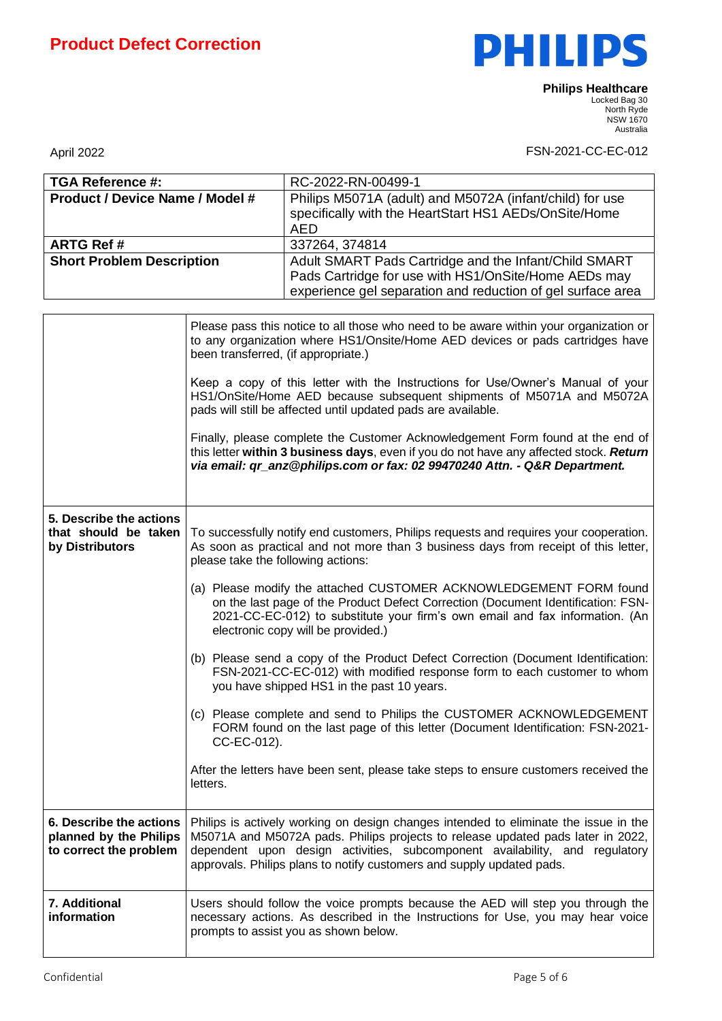

| <b>TGA Reference #:</b>                                                     |                                                                                                                                                                                                                                                                              | RC-2022-RN-00499-1                                                                                                                                                                                                                                                                                                              |  |  |
|-----------------------------------------------------------------------------|------------------------------------------------------------------------------------------------------------------------------------------------------------------------------------------------------------------------------------------------------------------------------|---------------------------------------------------------------------------------------------------------------------------------------------------------------------------------------------------------------------------------------------------------------------------------------------------------------------------------|--|--|
| <b>Product / Device Name / Model #</b>                                      |                                                                                                                                                                                                                                                                              | Philips M5071A (adult) and M5072A (infant/child) for use                                                                                                                                                                                                                                                                        |  |  |
|                                                                             |                                                                                                                                                                                                                                                                              | specifically with the HeartStart HS1 AEDs/OnSite/Home                                                                                                                                                                                                                                                                           |  |  |
|                                                                             |                                                                                                                                                                                                                                                                              | <b>AED</b>                                                                                                                                                                                                                                                                                                                      |  |  |
| <b>ARTG Ref#</b>                                                            |                                                                                                                                                                                                                                                                              | 337264, 374814                                                                                                                                                                                                                                                                                                                  |  |  |
| <b>Short Problem Description</b>                                            |                                                                                                                                                                                                                                                                              | Adult SMART Pads Cartridge and the Infant/Child SMART                                                                                                                                                                                                                                                                           |  |  |
|                                                                             |                                                                                                                                                                                                                                                                              | Pads Cartridge for use with HS1/OnSite/Home AEDs may                                                                                                                                                                                                                                                                            |  |  |
|                                                                             |                                                                                                                                                                                                                                                                              | experience gel separation and reduction of gel surface area                                                                                                                                                                                                                                                                     |  |  |
|                                                                             |                                                                                                                                                                                                                                                                              |                                                                                                                                                                                                                                                                                                                                 |  |  |
|                                                                             | Please pass this notice to all those who need to be aware within your organization or<br>to any organization where HS1/Onsite/Home AED devices or pads cartridges have<br>been transferred, (if appropriate.)                                                                |                                                                                                                                                                                                                                                                                                                                 |  |  |
|                                                                             | Keep a copy of this letter with the Instructions for Use/Owner's Manual of your<br>HS1/OnSite/Home AED because subsequent shipments of M5071A and M5072A<br>pads will still be affected until updated pads are available.                                                    |                                                                                                                                                                                                                                                                                                                                 |  |  |
|                                                                             | Finally, please complete the Customer Acknowledgement Form found at the end of<br>this letter within 3 business days, even if you do not have any affected stock. Return<br>via email: qr_anz@philips.com or fax: 02 99470240 Attn. - Q&R Department.                        |                                                                                                                                                                                                                                                                                                                                 |  |  |
|                                                                             |                                                                                                                                                                                                                                                                              |                                                                                                                                                                                                                                                                                                                                 |  |  |
| 5. Describe the actions<br>that should be taken<br>by Distributors          | To successfully notify end customers, Philips requests and requires your cooperation.<br>As soon as practical and not more than 3 business days from receipt of this letter,<br>please take the following actions:                                                           |                                                                                                                                                                                                                                                                                                                                 |  |  |
|                                                                             | (a) Please modify the attached CUSTOMER ACKNOWLEDGEMENT FORM found<br>on the last page of the Product Defect Correction (Document Identification: FSN-<br>2021-CC-EC-012) to substitute your firm's own email and fax information. (An<br>electronic copy will be provided.) |                                                                                                                                                                                                                                                                                                                                 |  |  |
|                                                                             | (b) Please send a copy of the Product Defect Correction (Document Identification:<br>FSN-2021-CC-EC-012) with modified response form to each customer to whom<br>you have shipped HS1 in the past 10 years.                                                                  |                                                                                                                                                                                                                                                                                                                                 |  |  |
|                                                                             | (c) Please complete and send to Philips the CUSTOMER ACKNOWLEDGEMENT<br>FORM found on the last page of this letter (Document Identification: FSN-2021-<br>CC-EC-012).                                                                                                        |                                                                                                                                                                                                                                                                                                                                 |  |  |
|                                                                             | letters.                                                                                                                                                                                                                                                                     | After the letters have been sent, please take steps to ensure customers received the                                                                                                                                                                                                                                            |  |  |
| 6. Describe the actions<br>planned by the Philips<br>to correct the problem |                                                                                                                                                                                                                                                                              | Philips is actively working on design changes intended to eliminate the issue in the<br>M5071A and M5072A pads. Philips projects to release updated pads later in 2022,<br>dependent upon design activities, subcomponent availability, and regulatory<br>approvals. Philips plans to notify customers and supply updated pads. |  |  |
| 7. Additional<br>information                                                |                                                                                                                                                                                                                                                                              | Users should follow the voice prompts because the AED will step you through the<br>necessary actions. As described in the Instructions for Use, you may hear voice<br>prompts to assist you as shown below.                                                                                                                     |  |  |